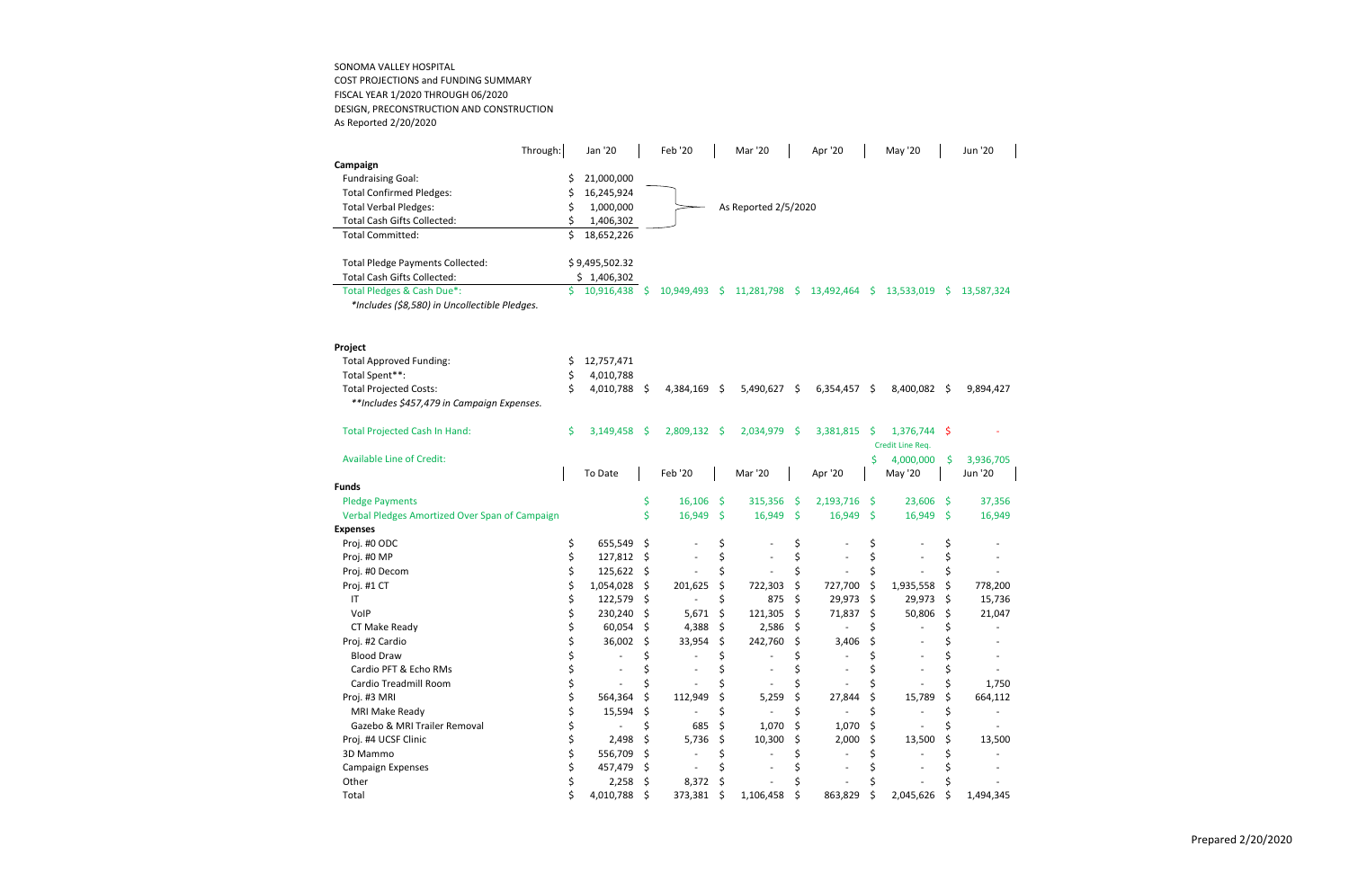SONOMA VALLEY HOSPITAL COST PROJECTIONS and FUNDING SUMMARY FISCAL YEAR 1/2020 THROUGH 06/2020 DESIGN, PRECONSTRUCTION AND CONSTRUCTION As Reported 2/20/2020

| Through:                                       |     | Jan '20        |                    | Feb '20        |      | Mar '20              |      | Apr '20        |      | May '20              |     | Jun '20              |
|------------------------------------------------|-----|----------------|--------------------|----------------|------|----------------------|------|----------------|------|----------------------|-----|----------------------|
| Campaign                                       |     |                |                    |                |      |                      |      |                |      |                      |     |                      |
| <b>Fundraising Goal:</b>                       | S   | 21,000,000     |                    |                |      |                      |      |                |      |                      |     |                      |
| <b>Total Confirmed Pledges:</b>                | \$  | 16,245,924     |                    |                |      |                      |      |                |      |                      |     |                      |
| <b>Total Verbal Pledges:</b>                   | S   | 1,000,000      |                    |                |      | As Reported 2/5/2020 |      |                |      |                      |     |                      |
| <b>Total Cash Gifts Collected:</b>             | \$. | 1,406,302      |                    |                |      |                      |      |                |      |                      |     |                      |
| <b>Total Committed:</b>                        | Ś.  | 18,652,226     |                    |                |      |                      |      |                |      |                      |     |                      |
| Total Pledge Payments Collected:               |     | \$9,495,502.32 |                    |                |      |                      |      |                |      |                      |     |                      |
| Total Cash Gifts Collected:                    |     | \$1,406,302    |                    |                |      |                      |      |                |      |                      |     |                      |
| Total Pledges & Cash Due*:                     | \$. | 10,916,438 \$  |                    | 10,949,493     | - \$ | 11,281,798 \$        |      | 13,492,464 \$  |      | 13,533,019           | -S  | 13,587,324           |
| *Includes (\$8,580) in Uncollectible Pledges.  |     |                |                    |                |      |                      |      |                |      |                      |     |                      |
| Project                                        |     |                |                    |                |      |                      |      |                |      |                      |     |                      |
| <b>Total Approved Funding:</b>                 | Ş   | 12,757,471     |                    |                |      |                      |      |                |      |                      |     |                      |
| Total Spent**:                                 | S   | 4,010,788      |                    |                |      |                      |      |                |      |                      |     |                      |
| <b>Total Projected Costs:</b>                  | \$  | 4,010,788      | $\ddot{\varsigma}$ | $4,384,169$ \$ |      | $5,490,627$ \$       |      | $6,354,457$ \$ |      | 8,400,082 \$         |     | 9,894,427            |
| **Includes \$457,479 in Campaign Expenses.     |     |                |                    |                |      |                      |      |                |      |                      |     |                      |
| <b>Total Projected Cash In Hand:</b>           | Ś.  | $3,149,458$ \$ |                    | 2,809,132      | -\$  | 2,034,979            | -\$  | 3,381,815      | Ŝ.   | 1,376,744 \$         |     |                      |
|                                                |     |                |                    |                |      |                      |      |                |      | Credit Line Req.     |     |                      |
| <b>Available Line of Credit:</b>               |     | To Date        |                    | Feb '20        |      | Mar '20              |      | Apr '20        | \$   | 4,000,000<br>May '20 | \$  | 3,936,705<br>Jun '20 |
| <b>Funds</b>                                   |     |                |                    |                |      |                      |      |                |      |                      |     |                      |
| <b>Pledge Payments</b>                         |     |                | \$                 | 16,106         | \$   | 315,356              | -\$  | 2,193,716      | - \$ | 23,606               | \$, | 37,356               |
| Verbal Pledges Amortized Over Span of Campaign |     |                | \$                 | 16,949         | Ŝ.   | 16,949               | - \$ | $16,949$ \$    |      | 16,949               | \$  | 16,949               |
| <b>Expenses</b>                                |     |                |                    |                |      |                      |      |                |      |                      |     |                      |
| Proj. #0 ODC                                   | \$  | 655,549        | \$                 |                | \$   |                      | \$   |                | \$   |                      | \$  |                      |
| Proj. #0 MP                                    | \$  | 127,812        | \$                 |                | \$   |                      | \$   |                | \$   |                      | \$  |                      |
| Proj. #0 Decom                                 | \$  | 125,622        | \$                 |                | \$   |                      | \$   |                | \$   |                      | \$  |                      |
| Proj. #1 CT                                    | \$  | 1,054,028      | \$                 | 201,625        | \$   | 722,303              | \$   | 727,700        | \$   | 1,935,558            | \$  | 778,200              |
| $\sf IT$                                       | \$  | 122,579        | \$                 |                | \$   | 875                  | \$   | 29,973         | \$   | 29,973               | \$  | 15,736               |
| VolP                                           | \$  | 230,240        | \$                 | 5,671          | \$   | 121,305              | -\$  | 71,837         | \$   | 50,806               | \$  | 21,047               |
| CT Make Ready                                  | \$  | 60,054         | \$                 | 4,388          | \$   | 2,586                | \$   |                | \$   |                      | \$  |                      |
| Proj. #2 Cardio                                |     | 36,002         | \$                 | 33,954         | \$   | 242,760              | \$   | 3,406          |      |                      |     |                      |
| <b>Blood Draw</b>                              |     |                |                    |                |      |                      |      |                |      |                      |     |                      |
| Cardio PFT & Echo RMs                          |     |                |                    |                |      |                      |      |                |      |                      |     |                      |
| Cardio Treadmill Room                          |     |                |                    |                |      |                      |      |                |      |                      |     | 1,750                |
| Proj. #3 MRI                                   |     | 564,364        | \$.                | 112,949        |      | 5,259                | \$   | 27,844         |      | 15,789               | \$  | 664,112              |
| MRI Make Ready                                 |     | 15,594         | \$.                |                |      |                      |      |                |      |                      |     |                      |
| Gazebo & MRI Trailer Removal                   |     |                | Ś                  | 685            | \$   | 1,070                | \$   | 1,070          |      |                      |     |                      |
| Proj. #4 UCSF Clinic                           |     | 2,498          | \$                 | 5,736          | S    | 10,300               | -S   | 2,000          |      | 13,500               | S   | 13,500               |
| 3D Mammo                                       |     | 556,709        | \$.                |                |      |                      |      |                |      |                      |     |                      |
| <b>Campaign Expenses</b>                       |     | 457,479        | \$.                |                |      |                      |      |                |      |                      |     |                      |
| Other                                          |     | 2,258          | \$.                | 8,372          | -S   |                      |      |                |      |                      |     |                      |
| Total                                          | \$  | 4,010,788 \$   |                    | 373,381 \$     |      | 1,106,458            | - S  | 863,829        | -S   | 2,045,626            | -S  | 1,494,345            |
|                                                |     |                |                    |                |      |                      |      |                |      |                      |     |                      |

Prepared 2/20/2020